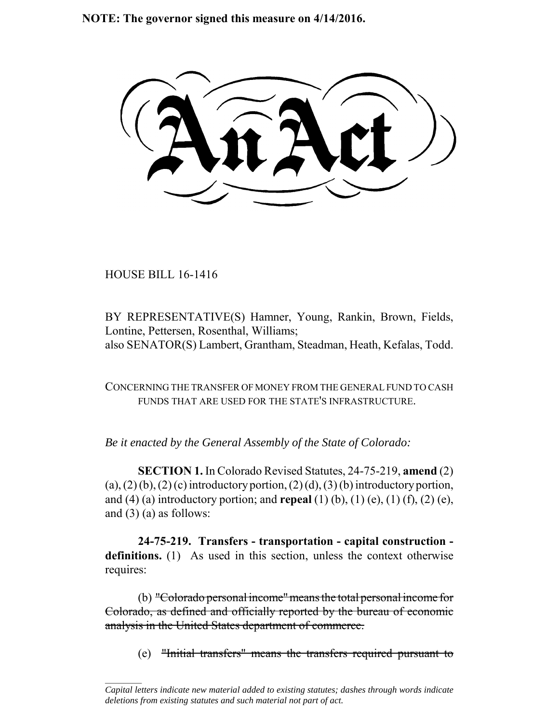**NOTE: The governor signed this measure on 4/14/2016.**

HOUSE BILL 16-1416

 $\frac{1}{2}$ 

BY REPRESENTATIVE(S) Hamner, Young, Rankin, Brown, Fields, Lontine, Pettersen, Rosenthal, Williams; also SENATOR(S) Lambert, Grantham, Steadman, Heath, Kefalas, Todd.

CONCERNING THE TRANSFER OF MONEY FROM THE GENERAL FUND TO CASH FUNDS THAT ARE USED FOR THE STATE'S INFRASTRUCTURE.

*Be it enacted by the General Assembly of the State of Colorado:*

**SECTION 1.** In Colorado Revised Statutes, 24-75-219, **amend** (2)  $(a)$ ,  $(2)$   $(b)$ ,  $(2)$   $(c)$  introductory portion,  $(2)$   $(d)$ ,  $(3)$   $(b)$  introductory portion, and (4) (a) introductory portion; and **repeal** (1) (b), (1) (e), (1) (f), (2) (e), and  $(3)$  (a) as follows:

**24-75-219. Transfers - transportation - capital construction definitions.** (1) As used in this section, unless the context otherwise requires:

(b) "Colorado personal income" means the total personal income for Colorado, as defined and officially reported by the bureau of economic analysis in the United States department of commerce.

(e) "Initial transfers" means the transfers required pursuant to

*Capital letters indicate new material added to existing statutes; dashes through words indicate deletions from existing statutes and such material not part of act.*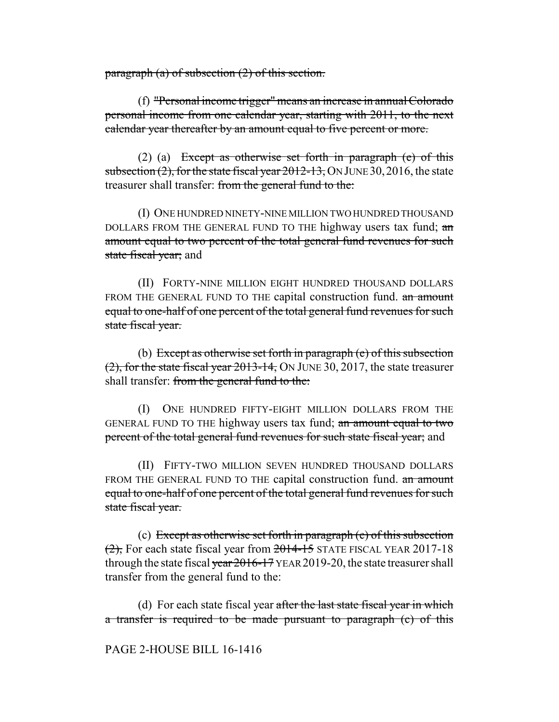paragraph (a) of subsection (2) of this section.

(f) "Personal income trigger" means an increase in annual Colorado personal income from one calendar year, starting with 2011, to the next calendar year thereafter by an amount equal to five percent or more.

(2) (a) Except as otherwise set forth in paragraph (e) of this subsection  $(2)$ , for the state fiscal year  $2012-13$ , ON JUNE 30, 2016, the state treasurer shall transfer: from the general fund to the:

(I) ONE HUNDRED NINETY-NINE MILLION TWO HUNDRED THOUSAND DOLLARS FROM THE GENERAL FUND TO THE highway users tax fund; an amount equal to two percent of the total general fund revenues for such state fiscal year; and

(II) FORTY-NINE MILLION EIGHT HUNDRED THOUSAND DOLLARS FROM THE GENERAL FUND TO THE capital construction fund. an amount equal to one-half of one percent of the total general fund revenues for such state fiscal year.

(b) Except as otherwise set forth in paragraph  $(e)$  of this subsection (2), for the state fiscal year 2013-14, ON JUNE 30, 2017, the state treasurer shall transfer: from the general fund to the:

(I) ONE HUNDRED FIFTY-EIGHT MILLION DOLLARS FROM THE GENERAL FUND TO THE highway users tax fund; an amount equal to two percent of the total general fund revenues for such state fiscal year; and

(II) FIFTY-TWO MILLION SEVEN HUNDRED THOUSAND DOLLARS FROM THE GENERAL FUND TO THE capital construction fund. an amount equal to one-half of one percent of the total general fund revenues for such state fiscal year.

(c) Except as otherwise set forth in paragraph (e) of this subsection (2), For each state fiscal year from 2014-15 STATE FISCAL YEAR 2017-18 through the state fiscal year  $2016-17$  YEAR 2019-20, the state treasurer shall transfer from the general fund to the:

(d) For each state fiscal year after the last state fiscal year in which a transfer is required to be made pursuant to paragraph (c) of this

PAGE 2-HOUSE BILL 16-1416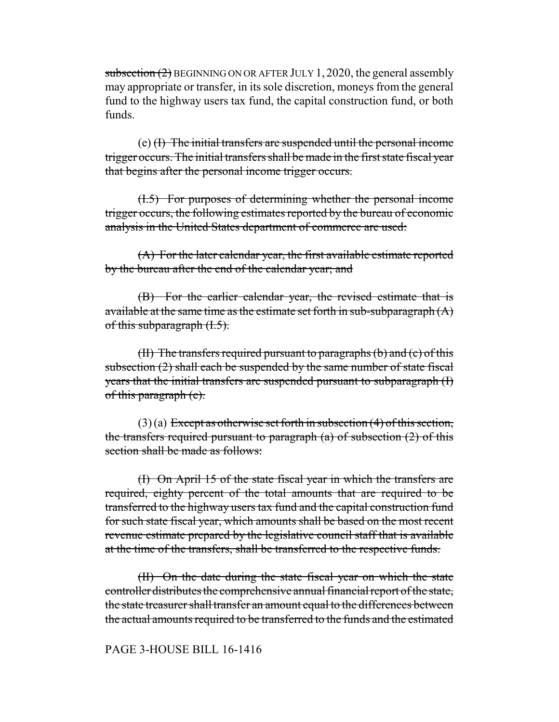subsection  $(2)$  BEGINNING ON OR AFTER JULY 1, 2020, the general assembly may appropriate or transfer, in its sole discretion, moneys from the general fund to the highway users tax fund, the capital construction fund, or both funds.

(e) (I) The initial transfers are suspended until the personal income trigger occurs. The initial transfers shall be made in the first state fiscal year that begins after the personal income trigger occurs.

(I.5) For purposes of determining whether the personal income trigger occurs, the following estimates reported by the bureau of economic analysis in the United States department of commerce are used:

(A) For the later calendar year, the first available estimate reported by the bureau after the end of the calendar year; and

(B) For the earlier calendar year, the revised estimate that is available at the same time as the estimate set forth in sub-subparagraph  $(A)$ of this subparagraph  $(1.5)$ .

(II) The transfers required pursuant to paragraphs  $(b)$  and  $(c)$  of this subsection (2) shall each be suspended by the same number of state fiscal years that the initial transfers are suspended pursuant to subparagraph (I) of this paragraph (e).

 $(3)$  (a) Except as otherwise set forth in subsection (4) of this section, the transfers required pursuant to paragraph  $(a)$  of subsection  $(2)$  of this section shall be made as follows:

(I) On April 15 of the state fiscal year in which the transfers are required, eighty percent of the total amounts that are required to be transferred to the highway users tax fund and the capital construction fund for such state fiscal year, which amounts shall be based on the most recent revenue estimate prepared by the legislative council staff that is available at the time of the transfers, shall be transferred to the respective funds.

(II) On the date during the state fiscal year on which the state controller distributes the comprehensive annual financial report of the state, the state treasurer shall transfer an amount equal to the differences between the actual amounts required to be transferred to the funds and the estimated

## PAGE 3-HOUSE BILL 16-1416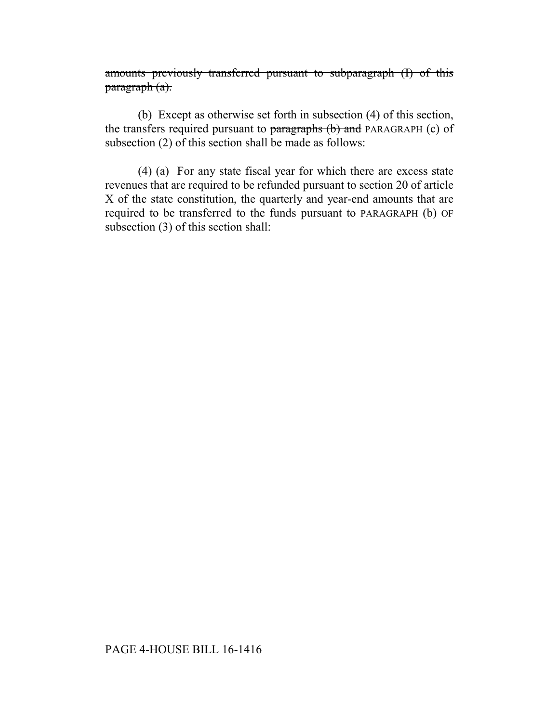amounts previously transferred pursuant to subparagraph (I) of this paragraph (a).

(b) Except as otherwise set forth in subsection (4) of this section, the transfers required pursuant to paragraphs (b) and PARAGRAPH (c) of subsection (2) of this section shall be made as follows:

(4) (a) For any state fiscal year for which there are excess state revenues that are required to be refunded pursuant to section 20 of article X of the state constitution, the quarterly and year-end amounts that are required to be transferred to the funds pursuant to PARAGRAPH (b) OF subsection (3) of this section shall: